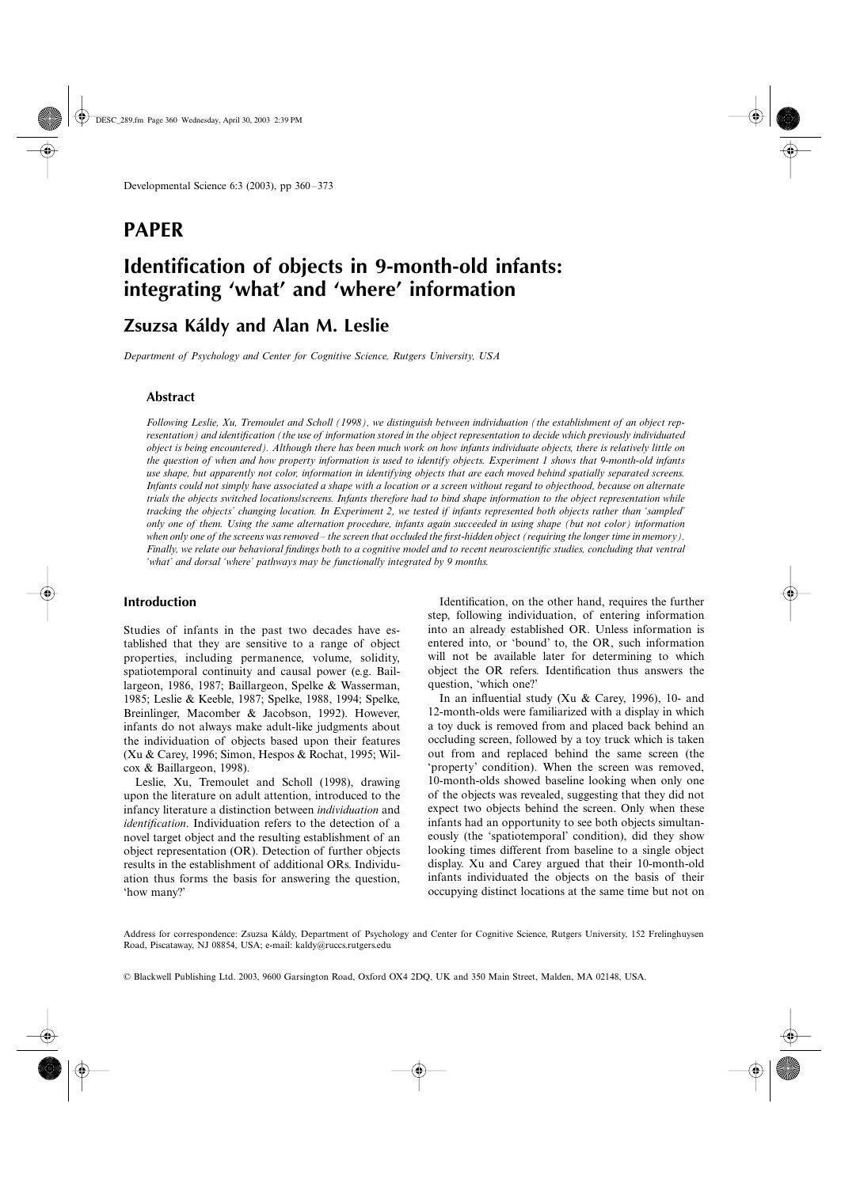# **PAPER**

# Identification of objects in 9-month-old infants: **integrating 'what' and 'where' information**

# **Zsuzsa Káldy and Alan M. Leslie**

*Department of Psychology and Center for Cognitive Science, Rutgers University, USA*

# **Abstract**

*Following Leslie, Xu, Tremoulet and Scholl (1998), we distinguish between individuation (the establishment of an object representation) and identification (the use of information stored in the object representation to decide which previously individuated object is being encountered). Although there has been much work on how infants individuate objects, there is relatively little on the question of when and how property information is used to identify objects. Experiment 1 shows that 9-month-old infants use shape, but apparently not color, information in identifying objects that are each moved behind spatially separated screens. Infants could not simply have associated a shape with a location or a screen without regard to objecthood, because on alternate trials the objects switched locations/screens. Infants therefore had to bind shape information to the object representation while tracking the objects' changing location. In Experiment 2, we tested if infants represented both objects rather than 'sampled' only one of them. Using the same alternation procedure, infants again succeeded in using shape (but not color) information when only one of the screens was removed – the screen that occluded the first-hidden object (requiring the longer time in memory). Finally, we relate our behavioral findings both to a cognitive model and to recent neuroscientific studies, concluding that ventral 'what' and dorsal 'where' pathways may be functionally integrated by 9 months.*

# **Introduction**

Studies of infants in the past two decades have established that they are sensitive to a range of object properties, including permanence, volume, solidity, spatiotemporal continuity and causal power (e.g. Baillargeon, 1986, 1987; Baillargeon, Spelke & Wasserman, 1985; Leslie & Keeble, 1987; Spelke, 1988, 1994; Spelke, Breinlinger, Macomber & Jacobson, 1992). However, infants do not always make adult-like judgments about the individuation of objects based upon their features (Xu & Carey, 1996; Simon, Hespos & Rochat, 1995; Wilcox & Baillargeon, 1998).

Leslie, Xu, Tremoulet and Scholl (1998), drawing upon the literature on adult attention, introduced to the infancy literature a distinction between *individuation* and *identification*. Individuation refers to the detection of a novel target object and the resulting establishment of an object representation (OR). Detection of further objects results in the establishment of additional ORs. Individuation thus forms the basis for answering the question, 'how many?'

Identification, on the other hand, requires the further step, following individuation, of entering information into an already established OR. Unless information is entered into, or 'bound' to, the OR, such information will not be available later for determining to which object the OR refers. Identification thus answers the question, 'which one?'

In an influential study (Xu & Carey, 1996), 10- and 12-month-olds were familiarized with a display in which a toy duck is removed from and placed back behind an occluding screen, followed by a toy truck which is taken out from and replaced behind the same screen (the 'property' condition). When the screen was removed, 10-month-olds showed baseline looking when only one of the objects was revealed, suggesting that they did not expect two objects behind the screen. Only when these infants had an opportunity to see both objects simultaneously (the 'spatiotemporal' condition), did they show looking times different from baseline to a single object display. Xu and Carey argued that their 10-month-old infants individuated the objects on the basis of their occupying distinct locations at the same time but not on

Address for correspondence: Zsuzsa Káldy, Department of Psychology and Center for Cognitive Science, Rutgers University, 152 Frelinghuysen Road, Piscataway, NJ 08854, USA; e-mail: kaldy@ruccs.rutgers.edu

<sup>©</sup> Blackwell Publishing Ltd. 2003, 9600 Garsington Road, Oxford OX4 2DQ, UK and 350 Main Street, Malden, MA 02148, USA.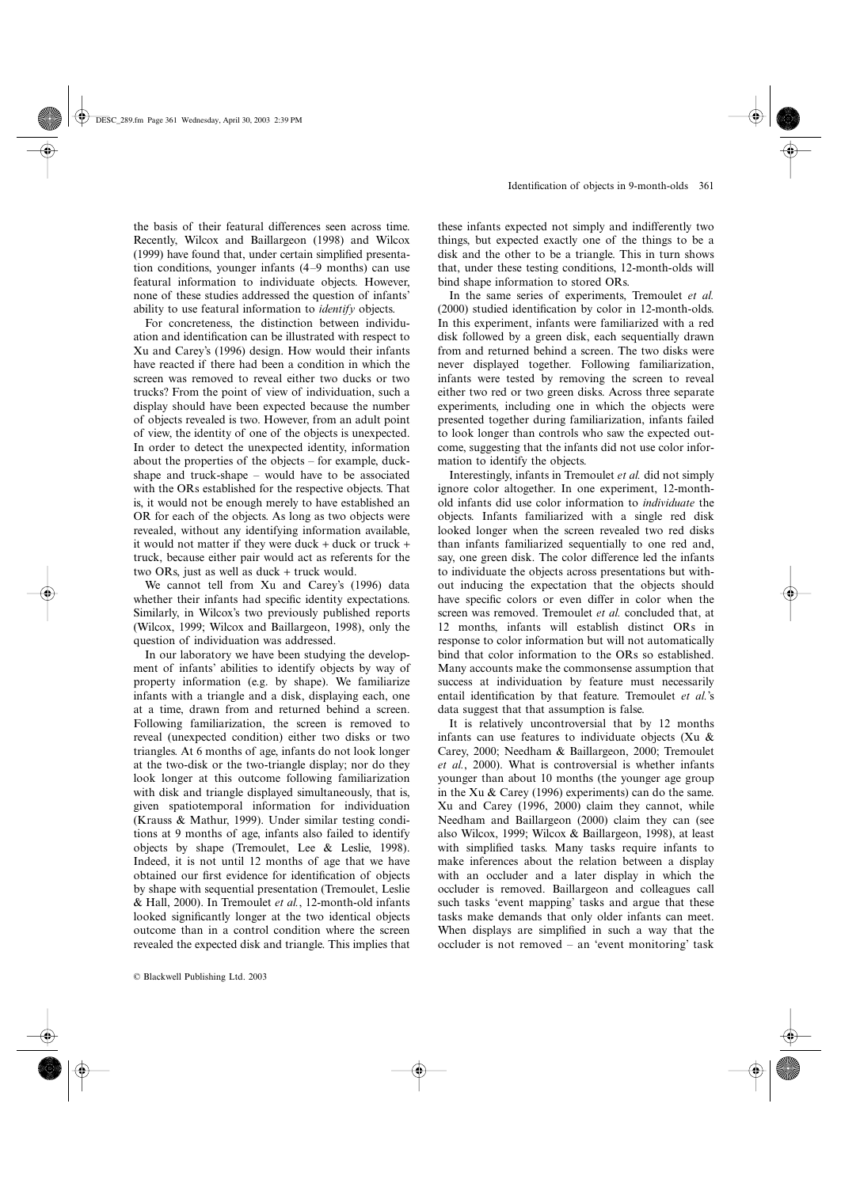the basis of their featural differences seen across time. Recently, Wilcox and Baillargeon (1998) and Wilcox (1999) have found that, under certain simplified presentation conditions, younger infants (4–9 months) can use featural information to individuate objects. However, none of these studies addressed the question of infants' ability to use featural information to *identify* objects.

For concreteness, the distinction between individuation and identification can be illustrated with respect to Xu and Carey's (1996) design. How would their infants have reacted if there had been a condition in which the screen was removed to reveal either two ducks or two trucks? From the point of view of individuation, such a display should have been expected because the number of objects revealed is two. However, from an adult point of view, the identity of one of the objects is unexpected. In order to detect the unexpected identity, information about the properties of the objects – for example, duckshape and truck-shape – would have to be associated with the ORs established for the respective objects. That is, it would not be enough merely to have established an OR for each of the objects. As long as two objects were revealed, without any identifying information available, it would not matter if they were duck  $+$  duck or truck  $+$ truck, because either pair would act as referents for the two ORs, just as well as duck + truck would.

We cannot tell from Xu and Carey's (1996) data whether their infants had specific identity expectations. Similarly, in Wilcox's two previously published reports (Wilcox, 1999; Wilcox and Baillargeon, 1998), only the question of individuation was addressed.

In our laboratory we have been studying the development of infants' abilities to identify objects by way of property information (e.g. by shape). We familiarize infants with a triangle and a disk, displaying each, one at a time, drawn from and returned behind a screen. Following familiarization, the screen is removed to reveal (unexpected condition) either two disks or two triangles. At 6 months of age, infants do not look longer at the two-disk or the two-triangle display; nor do they look longer at this outcome following familiarization with disk and triangle displayed simultaneously, that is, given spatiotemporal information for individuation (Krauss & Mathur, 1999). Under similar testing conditions at 9 months of age, infants also failed to identify objects by shape (Tremoulet, Lee & Leslie, 1998). Indeed, it is not until 12 months of age that we have obtained our first evidence for identification of objects by shape with sequential presentation (Tremoulet, Leslie & Hall, 2000). In Tremoulet *et al.*, 12-month-old infants looked significantly longer at the two identical objects outcome than in a control condition where the screen revealed the expected disk and triangle. This implies that these infants expected not simply and indifferently two things, but expected exactly one of the things to be a disk and the other to be a triangle. This in turn shows that, under these testing conditions, 12-month-olds will bind shape information to stored ORs.

In the same series of experiments, Tremoulet *et al.* (2000) studied identification by color in 12-month-olds. In this experiment, infants were familiarized with a red disk followed by a green disk, each sequentially drawn from and returned behind a screen. The two disks were never displayed together. Following familiarization, infants were tested by removing the screen to reveal either two red or two green disks. Across three separate experiments, including one in which the objects were presented together during familiarization, infants failed to look longer than controls who saw the expected outcome, suggesting that the infants did not use color information to identify the objects.

Interestingly, infants in Tremoulet *et al.* did not simply ignore color altogether. In one experiment, 12-monthold infants did use color information to *individuate* the objects. Infants familiarized with a single red disk looked longer when the screen revealed two red disks than infants familiarized sequentially to one red and, say, one green disk. The color difference led the infants to individuate the objects across presentations but without inducing the expectation that the objects should have specific colors or even differ in color when the screen was removed. Tremoulet *et al.* concluded that, at 12 months, infants will establish distinct ORs in response to color information but will not automatically bind that color information to the ORs so established. Many accounts make the commonsense assumption that success at individuation by feature must necessarily entail identification by that feature. Tremoulet *et al.*'s data suggest that that assumption is false.

It is relatively uncontroversial that by 12 months infants can use features to individuate objects (Xu  $\&$ Carey, 2000; Needham & Baillargeon, 2000; Tremoulet *et al.*, 2000). What is controversial is whether infants younger than about 10 months (the younger age group in the Xu & Carey (1996) experiments) can do the same. Xu and Carey (1996, 2000) claim they cannot, while Needham and Baillargeon (2000) claim they can (see also Wilcox, 1999; Wilcox & Baillargeon, 1998), at least with simplified tasks. Many tasks require infants to make inferences about the relation between a display with an occluder and a later display in which the occluder is removed. Baillargeon and colleagues call such tasks 'event mapping' tasks and argue that these tasks make demands that only older infants can meet. When displays are simplified in such a way that the occluder is not removed – an 'event monitoring' task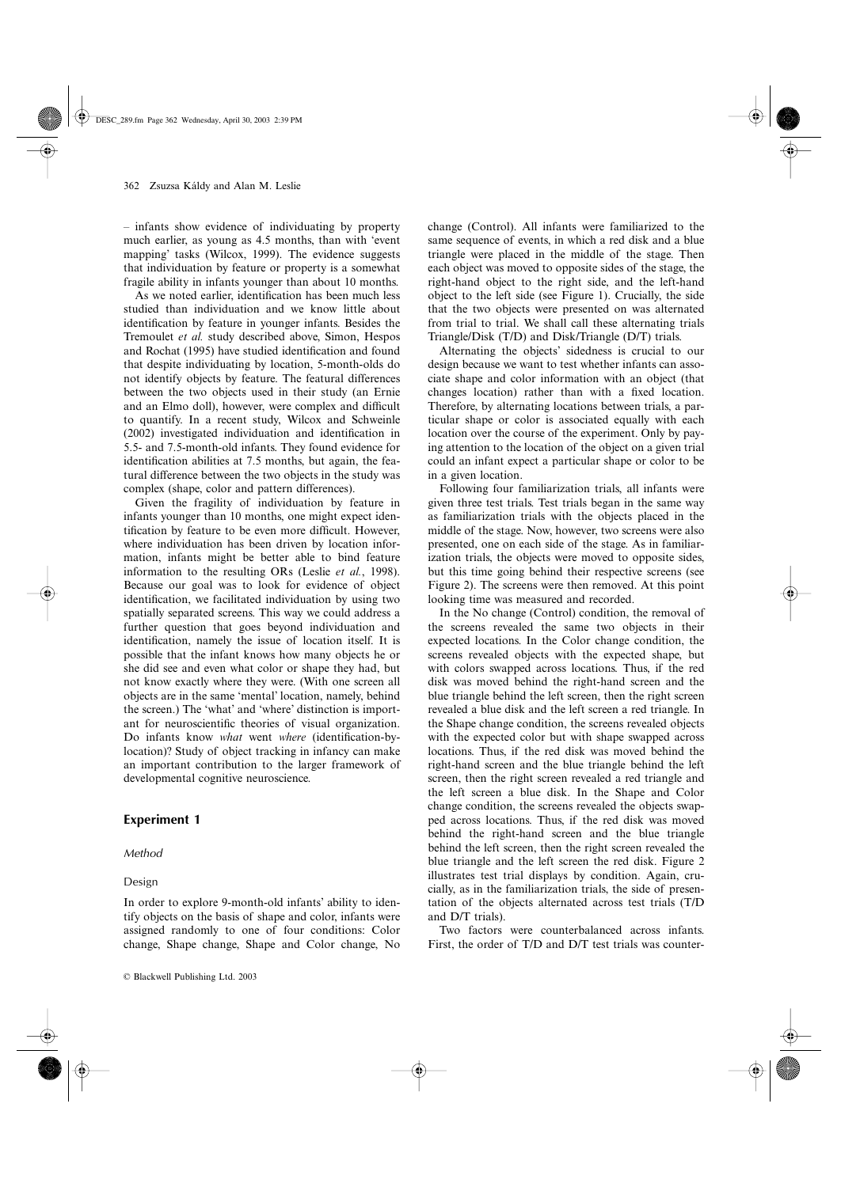– infants show evidence of individuating by property much earlier, as young as 4.5 months, than with 'event mapping' tasks (Wilcox, 1999). The evidence suggests that individuation by feature or property is a somewhat fragile ability in infants younger than about 10 months.

As we noted earlier, identification has been much less studied than individuation and we know little about identification by feature in younger infants. Besides the Tremoulet *et al.* study described above, Simon, Hespos and Rochat (1995) have studied identification and found that despite individuating by location, 5-month-olds do not identify objects by feature. The featural differences between the two objects used in their study (an Ernie and an Elmo doll), however, were complex and difficult to quantify. In a recent study, Wilcox and Schweinle (2002) investigated individuation and identification in 5.5- and 7.5-month-old infants. They found evidence for identification abilities at 7.5 months, but again, the featural difference between the two objects in the study was complex (shape, color and pattern differences).

Given the fragility of individuation by feature in infants younger than 10 months, one might expect identification by feature to be even more difficult. However, where individuation has been driven by location information, infants might be better able to bind feature information to the resulting ORs (Leslie *et al.*, 1998). Because our goal was to look for evidence of object identification, we facilitated individuation by using two spatially separated screens. This way we could address a further question that goes beyond individuation and identification, namely the issue of location itself. It is possible that the infant knows how many objects he or she did see and even what color or shape they had, but not know exactly where they were. (With one screen all objects are in the same 'mental' location, namely, behind the screen.) The 'what' and 'where' distinction is important for neuroscientific theories of visual organization. Do infants know *what* went *where* (identification-bylocation)? Study of object tracking in infancy can make an important contribution to the larger framework of developmental cognitive neuroscience.

# **Experiment 1**

### *Method*

#### Design

In order to explore 9-month-old infants' ability to identify objects on the basis of shape and color, infants were assigned randomly to one of four conditions: Color change, Shape change, Shape and Color change, No

change (Control). All infants were familiarized to the same sequence of events, in which a red disk and a blue triangle were placed in the middle of the stage. Then each object was moved to opposite sides of the stage, the right-hand object to the right side, and the left-hand object to the left side (see Figure 1). Crucially, the side that the two objects were presented on was alternated from trial to trial. We shall call these alternating trials Triangle/Disk (T/D) and Disk/Triangle (D/T) trials.

Alternating the objects' sidedness is crucial to our design because we want to test whether infants can associate shape and color information with an object (that changes location) rather than with a fixed location. Therefore, by alternating locations between trials, a particular shape or color is associated equally with each location over the course of the experiment. Only by paying attention to the location of the object on a given trial could an infant expect a particular shape or color to be in a given location.

Following four familiarization trials, all infants were given three test trials. Test trials began in the same way as familiarization trials with the objects placed in the middle of the stage. Now, however, two screens were also presented, one on each side of the stage. As in familiarization trials, the objects were moved to opposite sides, but this time going behind their respective screens (see Figure 2). The screens were then removed. At this point looking time was measured and recorded.

In the No change (Control) condition, the removal of the screens revealed the same two objects in their expected locations. In the Color change condition, the screens revealed objects with the expected shape, but with colors swapped across locations. Thus, if the red disk was moved behind the right-hand screen and the blue triangle behind the left screen, then the right screen revealed a blue disk and the left screen a red triangle. In the Shape change condition, the screens revealed objects with the expected color but with shape swapped across locations. Thus, if the red disk was moved behind the right-hand screen and the blue triangle behind the left screen, then the right screen revealed a red triangle and the left screen a blue disk. In the Shape and Color change condition, the screens revealed the objects swapped across locations. Thus, if the red disk was moved behind the right-hand screen and the blue triangle behind the left screen, then the right screen revealed the blue triangle and the left screen the red disk. Figure 2 illustrates test trial displays by condition. Again, crucially, as in the familiarization trials, the side of presentation of the objects alternated across test trials (T/D and D/T trials).

Two factors were counterbalanced across infants. First, the order of T/D and D/T test trials was counter-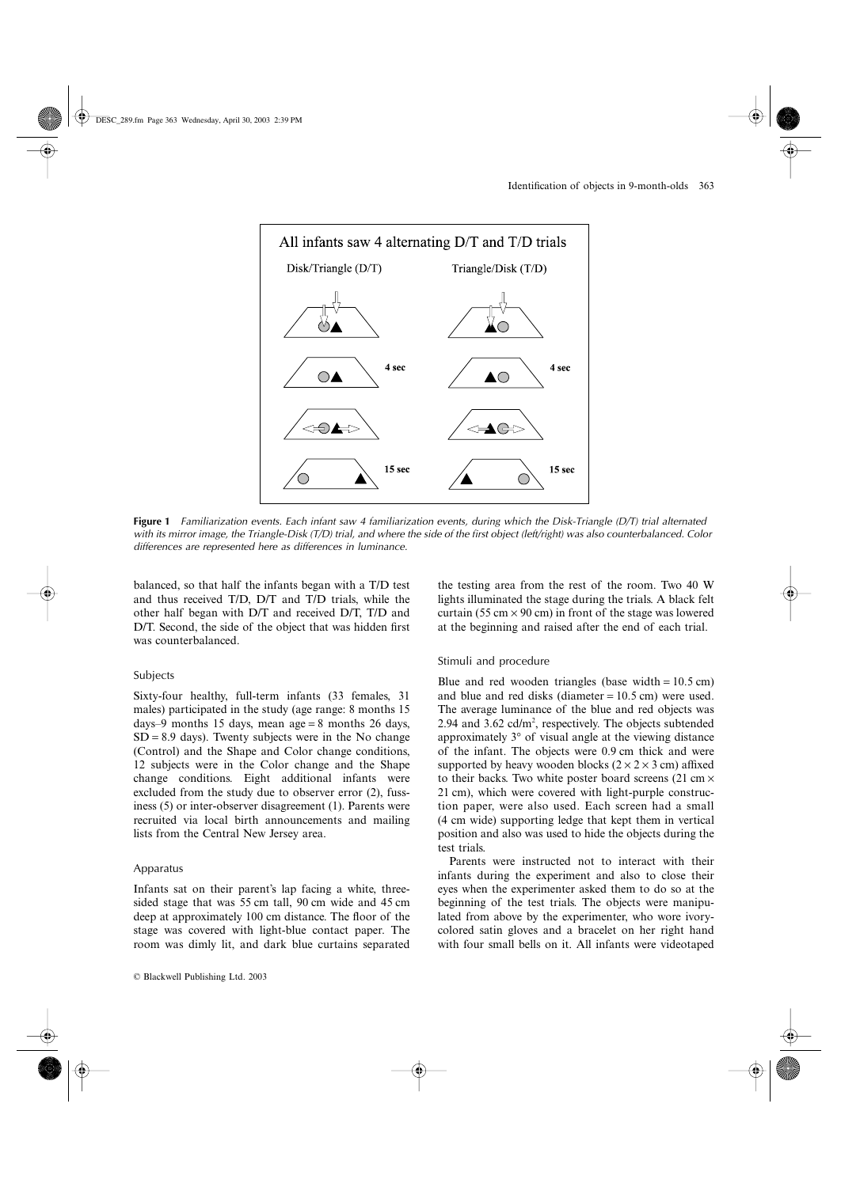

**Figure 1** *Familiarization events. Each infant saw 4 familiarization events, during which the Disk-Triangle (D/T) trial alternated with its mirror image, the Triangle-Disk (T/D) trial, and where the side of the first object (left/right) was also counterbalanced. Color differences are represented here as differences in luminance.*

balanced, so that half the infants began with a T/D test and thus received T/D, D/T and T/D trials, while the other half began with D/T and received D/T, T/D and D/T. Second, the side of the object that was hidden first was counterbalanced.

#### Subjects

Sixty-four healthy, full-term infants (33 females, 31 males) participated in the study (age range: 8 months 15 days–9 months 15 days, mean age  $= 8$  months 26 days,  $SD = 8.9$  days). Twenty subjects were in the No change (Control) and the Shape and Color change conditions, 12 subjects were in the Color change and the Shape change conditions. Eight additional infants were excluded from the study due to observer error (2), fussiness (5) or inter-observer disagreement (1). Parents were recruited via local birth announcements and mailing lists from the Central New Jersey area.

# Apparatus

Infants sat on their parent's lap facing a white, threesided stage that was 55 cm tall, 90 cm wide and 45 cm deep at approximately 100 cm distance. The floor of the stage was covered with light-blue contact paper. The room was dimly lit, and dark blue curtains separated the testing area from the rest of the room. Two 40 W lights illuminated the stage during the trials. A black felt curtain (55 cm  $\times$  90 cm) in front of the stage was lowered at the beginning and raised after the end of each trial.

# Stimuli and procedure

Blue and red wooden triangles (base width  $= 10.5$  cm) and blue and red disks (diameter  $= 10.5$  cm) were used. The average luminance of the blue and red objects was 2.94 and 3.62  $cd/m^2$ , respectively. The objects subtended approximately 3° of visual angle at the viewing distance of the infant. The objects were 0.9 cm thick and were supported by heavy wooden blocks  $(2 \times 2 \times 3$  cm) affixed to their backs. Two white poster board screens  $(21 \text{ cm} \times$ 21 cm), which were covered with light-purple construction paper, were also used. Each screen had a small (4 cm wide) supporting ledge that kept them in vertical position and also was used to hide the objects during the test trials.

Parents were instructed not to interact with their infants during the experiment and also to close their eyes when the experimenter asked them to do so at the beginning of the test trials. The objects were manipulated from above by the experimenter, who wore ivorycolored satin gloves and a bracelet on her right hand with four small bells on it. All infants were videotaped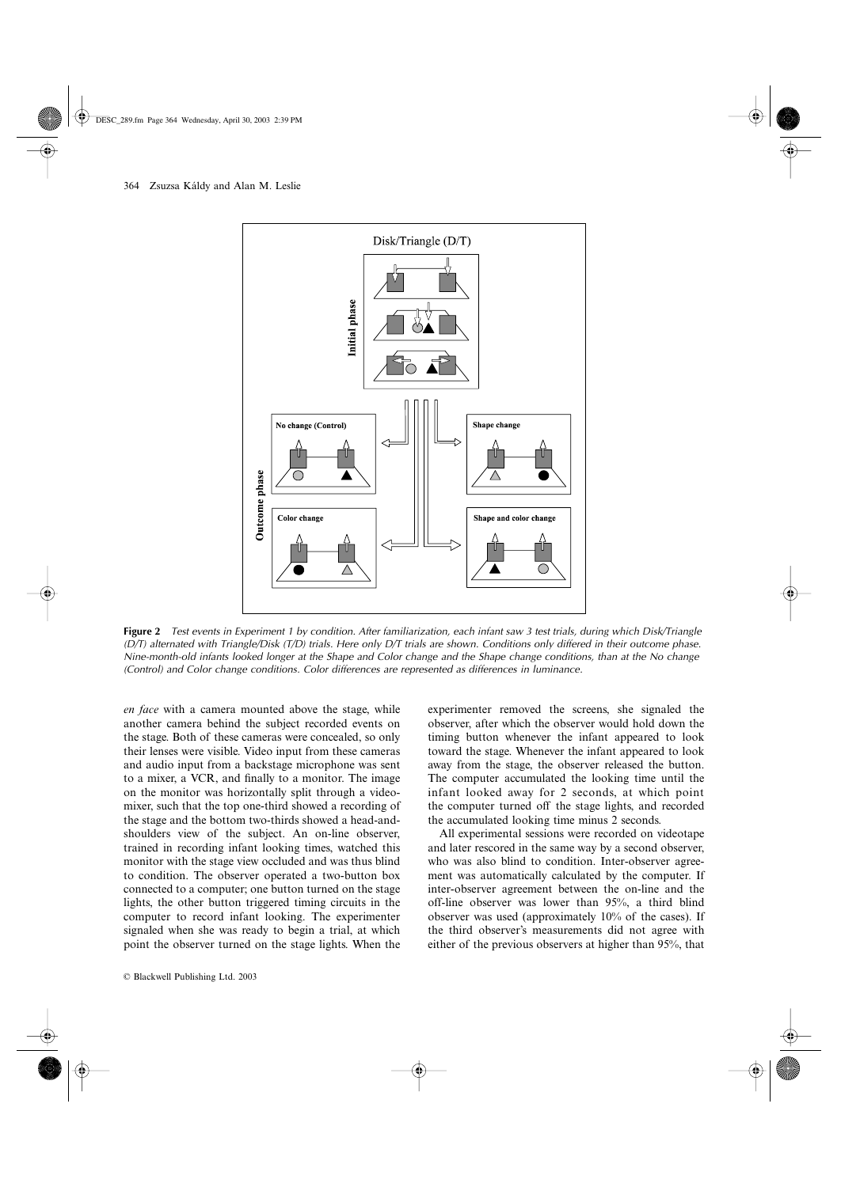

**Figure 2** *Test events in Experiment 1 by condition. After familiarization, each infant saw 3 test trials, during which Disk/Triangle (D/T) alternated with Triangle/Disk (T/D) trials. Here only D/T trials are shown. Conditions only differed in their outcome phase. Nine-month-old infants looked longer at the Shape and Color change and the Shape change conditions, than at the No change (Control) and Color change conditions. Color differences are represented as differences in luminance.*

*en face* with a camera mounted above the stage, while another camera behind the subject recorded events on the stage. Both of these cameras were concealed, so only their lenses were visible. Video input from these cameras and audio input from a backstage microphone was sent to a mixer, a VCR, and finally to a monitor. The image on the monitor was horizontally split through a videomixer, such that the top one-third showed a recording of the stage and the bottom two-thirds showed a head-andshoulders view of the subject. An on-line observer, trained in recording infant looking times, watched this monitor with the stage view occluded and was thus blind to condition. The observer operated a two-button box connected to a computer; one button turned on the stage lights, the other button triggered timing circuits in the computer to record infant looking. The experimenter signaled when she was ready to begin a trial, at which point the observer turned on the stage lights. When the

experimenter removed the screens, she signaled the observer, after which the observer would hold down the timing button whenever the infant appeared to look toward the stage. Whenever the infant appeared to look away from the stage, the observer released the button. The computer accumulated the looking time until the infant looked away for 2 seconds, at which point the computer turned off the stage lights, and recorded the accumulated looking time minus 2 seconds.

All experimental sessions were recorded on videotape and later rescored in the same way by a second observer, who was also blind to condition. Inter-observer agreement was automatically calculated by the computer. If inter-observer agreement between the on-line and the off-line observer was lower than 95%, a third blind observer was used (approximately 10% of the cases). If the third observer's measurements did not agree with either of the previous observers at higher than 95%, that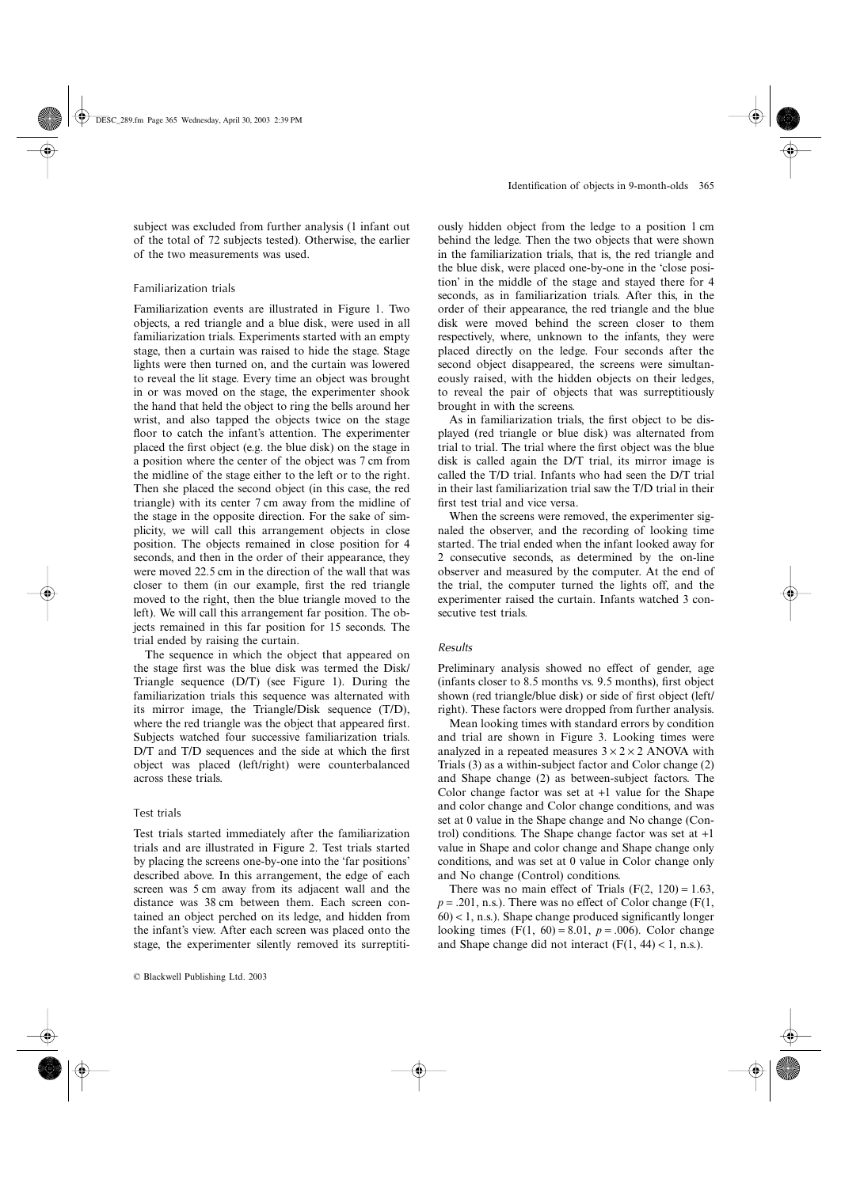subject was excluded from further analysis (1 infant out of the total of 72 subjects tested). Otherwise, the earlier of the two measurements was used.

#### Familiarization trials

Familiarization events are illustrated in Figure 1. Two objects, a red triangle and a blue disk, were used in all familiarization trials. Experiments started with an empty stage, then a curtain was raised to hide the stage. Stage lights were then turned on, and the curtain was lowered to reveal the lit stage. Every time an object was brought in or was moved on the stage, the experimenter shook the hand that held the object to ring the bells around her wrist, and also tapped the objects twice on the stage floor to catch the infant's attention. The experimenter placed the first object (e.g. the blue disk) on the stage in a position where the center of the object was 7 cm from the midline of the stage either to the left or to the right. Then she placed the second object (in this case, the red triangle) with its center 7 cm away from the midline of the stage in the opposite direction. For the sake of simplicity, we will call this arrangement objects in close position. The objects remained in close position for 4 seconds, and then in the order of their appearance, they were moved 22.5 cm in the direction of the wall that was closer to them (in our example, first the red triangle moved to the right, then the blue triangle moved to the left). We will call this arrangement far position. The objects remained in this far position for 15 seconds. The trial ended by raising the curtain.

The sequence in which the object that appeared on the stage first was the blue disk was termed the Disk/ Triangle sequence (D/T) (see Figure 1). During the familiarization trials this sequence was alternated with its mirror image, the Triangle/Disk sequence (T/D), where the red triangle was the object that appeared first. Subjects watched four successive familiarization trials. D/T and T/D sequences and the side at which the first object was placed (left/right) were counterbalanced across these trials.

#### Test trials

Test trials started immediately after the familiarization trials and are illustrated in Figure 2. Test trials started by placing the screens one-by-one into the 'far positions' described above. In this arrangement, the edge of each screen was 5 cm away from its adjacent wall and the distance was 38 cm between them. Each screen contained an object perched on its ledge, and hidden from the infant's view. After each screen was placed onto the stage, the experimenter silently removed its surreptitiously hidden object from the ledge to a position 1 cm behind the ledge. Then the two objects that were shown in the familiarization trials, that is, the red triangle and the blue disk, were placed one-by-one in the 'close position' in the middle of the stage and stayed there for 4 seconds, as in familiarization trials. After this, in the order of their appearance, the red triangle and the blue disk were moved behind the screen closer to them respectively, where, unknown to the infants, they were placed directly on the ledge. Four seconds after the second object disappeared, the screens were simultaneously raised, with the hidden objects on their ledges, to reveal the pair of objects that was surreptitiously brought in with the screens.

As in familiarization trials, the first object to be displayed (red triangle or blue disk) was alternated from trial to trial. The trial where the first object was the blue disk is called again the D/T trial, its mirror image is called the T/D trial. Infants who had seen the D/T trial in their last familiarization trial saw the T/D trial in their first test trial and vice versa.

When the screens were removed, the experimenter signaled the observer, and the recording of looking time started. The trial ended when the infant looked away for 2 consecutive seconds, as determined by the on-line observer and measured by the computer. At the end of the trial, the computer turned the lights off, and the experimenter raised the curtain. Infants watched 3 consecutive test trials.

#### *Results*

Preliminary analysis showed no effect of gender, age (infants closer to 8.5 months vs. 9.5 months), first object shown (red triangle/blue disk) or side of first object (left/ right). These factors were dropped from further analysis.

Mean looking times with standard errors by condition and trial are shown in Figure 3. Looking times were analyzed in a repeated measures  $3 \times 2 \times 2$  ANOVA with Trials (3) as a within-subject factor and Color change (2) and Shape change (2) as between-subject factors. The Color change factor was set at  $+1$  value for the Shape and color change and Color change conditions, and was set at 0 value in the Shape change and No change (Control) conditions. The Shape change factor was set at  $+1$ value in Shape and color change and Shape change only conditions, and was set at 0 value in Color change only and No change (Control) conditions.

There was no main effect of Trials  $(F(2, 120) = 1.63$ ,  $p = .201$ , n.s.). There was no effect of Color change (F(1,  $60$  < 1, n.s.). Shape change produced significantly longer looking times  $(F(1, 60) = 8.01, p = .006)$ . Color change and Shape change did not interact  $(F(1, 44) < 1, n.s.).$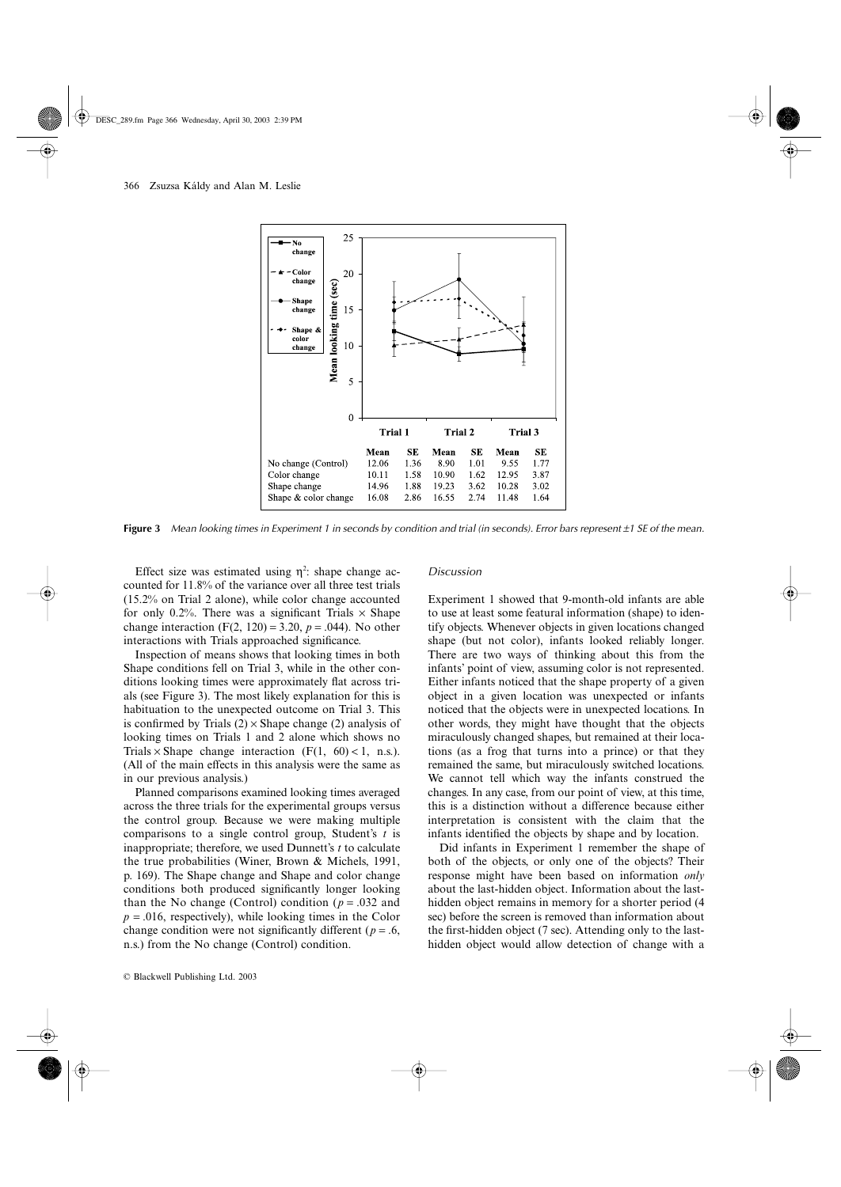

**Figure 3** Mean looking times in Experiment 1 in seconds by condition and trial (in seconds). Error bars represent  $\pm 1$  SE of the mean.

Effect size was estimated using  $\eta^2$ : shape change accounted for 11.8% of the variance over all three test trials (15.2% on Trial 2 alone), while color change accounted for only 0.2%. There was a significant Trials  $\times$  Shape change interaction  $(F(2, 120) = 3.20, p = .044)$ . No other interactions with Trials approached significance.

Inspection of means shows that looking times in both Shape conditions fell on Trial 3, while in the other conditions looking times were approximately flat across trials (see Figure 3). The most likely explanation for this is habituation to the unexpected outcome on Trial 3. This is confirmed by Trials  $(2) \times$  Shape change  $(2)$  analysis of looking times on Trials 1 and 2 alone which shows no Trials  $\times$  Shape change interaction (F(1, 60) < 1, n.s.). (All of the main effects in this analysis were the same as in our previous analysis.)

Planned comparisons examined looking times averaged across the three trials for the experimental groups versus the control group. Because we were making multiple comparisons to a single control group, Student's *t* is inappropriate; therefore, we used Dunnett's *t* to calculate the true probabilities (Winer, Brown & Michels, 1991, p. 169). The Shape change and Shape and color change conditions both produced significantly longer looking than the No change (Control) condition  $(p = .032$  and  $p = .016$ , respectively), while looking times in the Color change condition were not significantly different ( $p = .6$ , n.s.) from the No change (Control) condition.

*Discussion*

Experiment 1 showed that 9-month-old infants are able to use at least some featural information (shape) to identify objects. Whenever objects in given locations changed shape (but not color), infants looked reliably longer. There are two ways of thinking about this from the infants' point of view, assuming color is not represented. Either infants noticed that the shape property of a given object in a given location was unexpected or infants noticed that the objects were in unexpected locations. In other words, they might have thought that the objects miraculously changed shapes, but remained at their locations (as a frog that turns into a prince) or that they remained the same, but miraculously switched locations. We cannot tell which way the infants construed the changes. In any case, from our point of view, at this time, this is a distinction without a difference because either interpretation is consistent with the claim that the infants identified the objects by shape and by location.

Did infants in Experiment 1 remember the shape of both of the objects, or only one of the objects? Their response might have been based on information *only* about the last-hidden object. Information about the lasthidden object remains in memory for a shorter period (4 sec) before the screen is removed than information about the first-hidden object (7 sec). Attending only to the lasthidden object would allow detection of change with a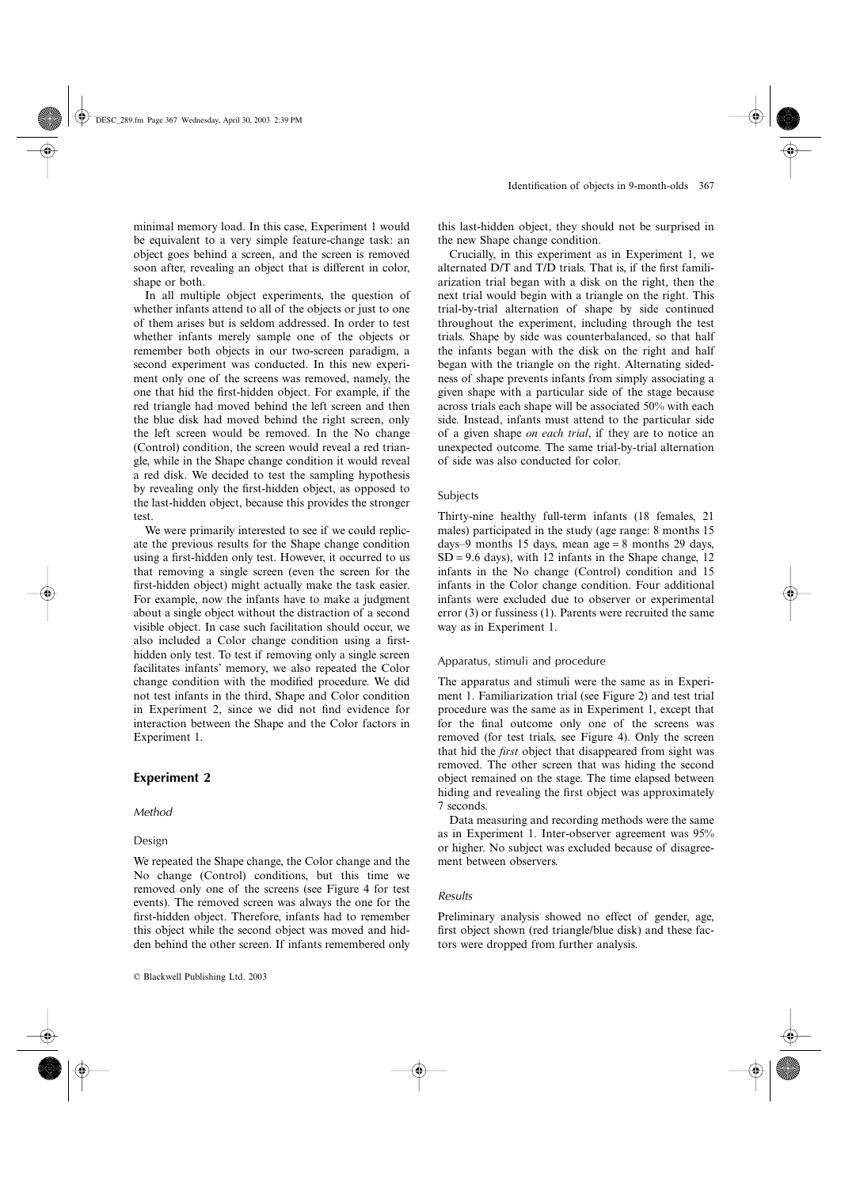minimal memory load. In this case, Experiment 1 would be equivalent to a very simple feature-change task: an object goes behind a screen, and the screen is removed soon after, revealing an object that is different in color, shape or both.

In all multiple object experiments, the question of whether infants attend to all of the objects or just to one of them arises but is seldom addressed. In order to test whether infants merely sample one of the objects or remember both objects in our two-screen paradigm, a second experiment was conducted. In this new experiment only one of the screens was removed, namely, the one that hid the first-hidden object. For example, if the red triangle had moved behind the left screen and then the blue disk had moved behind the right screen, only the left screen would be removed. In the No change (Control) condition, the screen would reveal a red triangle, while in the Shape change condition it would reveal a red disk. We decided to test the sampling hypothesis by revealing only the first-hidden object, as opposed to the last-hidden object, because this provides the stronger test.

We were primarily interested to see if we could replicate the previous results for the Shape change condition using a first-hidden only test. However, it occurred to us that removing a single screen (even the screen for the first-hidden object) might actually make the task easier. For example, now the infants have to make a judgment about a single object without the distraction of a second visible object. In case such facilitation should occur, we also included a Color change condition using a firsthidden only test. To test if removing only a single screen facilitates infants' memory, we also repeated the Color change condition with the modified procedure. We did not test infants in the third, Shape and Color condition in Experiment 2, since we did not find evidence for interaction between the Shape and the Color factors in Experiment 1.

# **Experiment 2**

#### *Method*

#### Design

We repeated the Shape change, the Color change and the No change (Control) conditions, but this time we removed only one of the screens (see Figure 4 for test events). The removed screen was always the one for the first-hidden object. Therefore, infants had to remember this object while the second object was moved and hidden behind the other screen. If infants remembered only this last-hidden object, they should not be surprised in the new Shape change condition.

Crucially, in this experiment as in Experiment 1, we alternated D/T and T/D trials. That is, if the first familiarization trial began with a disk on the right, then the next trial would begin with a triangle on the right. This trial-by-trial alternation of shape by side continued throughout the experiment, including through the test trials. Shape by side was counterbalanced, so that half the infants began with the disk on the right and half began with the triangle on the right. Alternating sidedness of shape prevents infants from simply associating a given shape with a particular side of the stage because across trials each shape will be associated 50% with each side. Instead, infants must attend to the particular side of a given shape *on each trial*, if they are to notice an unexpected outcome. The same trial-by-trial alternation of side was also conducted for color.

#### Subjects

Thirty-nine healthy full-term infants (18 females, 21 males) participated in the study (age range: 8 months 15 days–9 months 15 days, mean age  $= 8$  months 29 days,  $SD = 9.6$  days), with 12 infants in the Shape change, 12 infants in the No change (Control) condition and 15 infants in the Color change condition. Four additional infants were excluded due to observer or experimental error (3) or fussiness (1). Parents were recruited the same way as in Experiment 1.

#### Apparatus, stimuli and procedure

The apparatus and stimuli were the same as in Experiment 1. Familiarization trial (see Figure 2) and test trial procedure was the same as in Experiment 1, except that for the final outcome only one of the screens was removed (for test trials, see Figure 4). Only the screen that hid the *first* object that disappeared from sight was removed. The other screen that was hiding the second object remained on the stage. The time elapsed between hiding and revealing the first object was approximately 7 seconds.

Data measuring and recording methods were the same as in Experiment 1. Inter-observer agreement was 95% or higher. No subject was excluded because of disagreement between observers.

#### *Results*

Preliminary analysis showed no effect of gender, age, first object shown (red triangle/blue disk) and these factors were dropped from further analysis.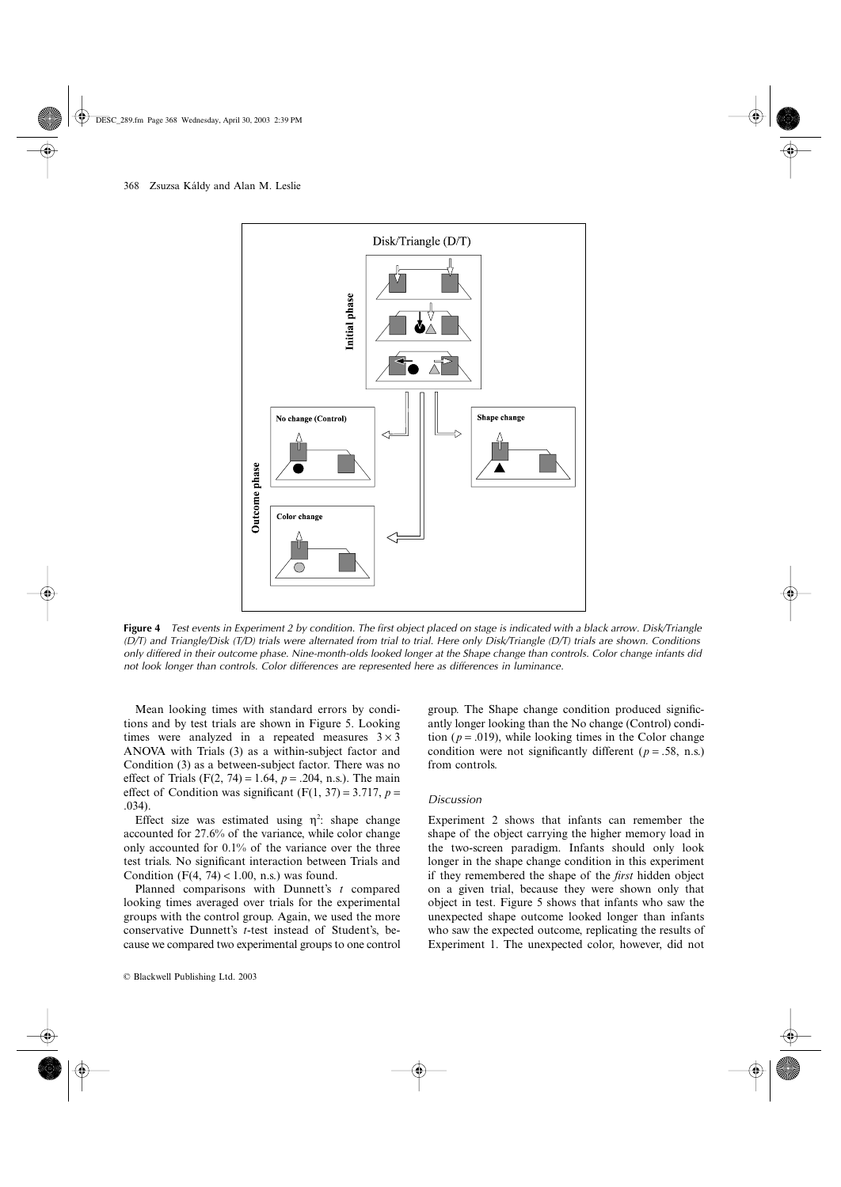![](_page_8_Figure_1.jpeg)

**Figure 4** *Test events in Experiment 2 by condition. The first object placed on stage is indicated with a black arrow. Disk/Triangle (D/T) and Triangle/Disk (T/D) trials were alternated from trial to trial. Here only Disk/Triangle (D/T) trials are shown. Conditions only differed in their outcome phase. Nine-month-olds looked longer at the Shape change than controls. Color change infants did not look longer than controls. Color differences are represented here as differences in luminance.*

Mean looking times with standard errors by conditions and by test trials are shown in Figure 5. Looking times were analyzed in a repeated measures  $3 \times 3$ ANOVA with Trials (3) as a within-subject factor and Condition (3) as a between-subject factor. There was no effect of Trials (F(2, 74) = 1.64,  $p = .204$ , n.s.). The main effect of Condition was significant  $(F(1, 37) = 3.717, p =$ .034).

Effect size was estimated using  $\eta^2$ : shape change accounted for 27.6% of the variance, while color change only accounted for 0.1% of the variance over the three test trials. No significant interaction between Trials and Condition  $(F(4, 74) < 1.00, n.s.)$  was found.

Planned comparisons with Dunnett's *t* compared looking times averaged over trials for the experimental groups with the control group. Again, we used the more conservative Dunnett's *t*-test instead of Student's, because we compared two experimental groups to one control group. The Shape change condition produced significantly longer looking than the No change (Control) condition  $(p = .019)$ , while looking times in the Color change condition were not significantly different ( $p = .58$ , n.s.) from controls.

#### *Discussion*

Experiment 2 shows that infants can remember the shape of the object carrying the higher memory load in the two-screen paradigm. Infants should only look longer in the shape change condition in this experiment if they remembered the shape of the *first* hidden object on a given trial, because they were shown only that object in test. Figure 5 shows that infants who saw the unexpected shape outcome looked longer than infants who saw the expected outcome, replicating the results of Experiment 1. The unexpected color, however, did not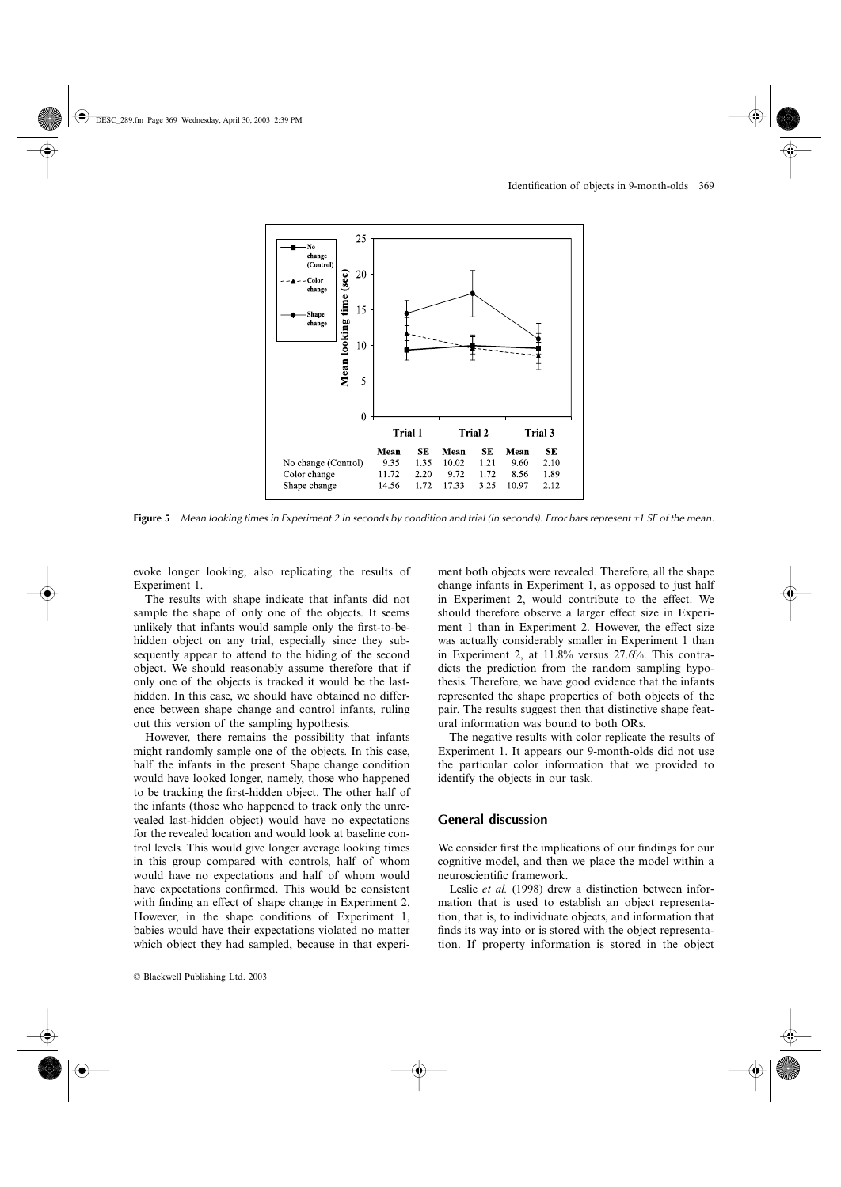![](_page_9_Figure_1.jpeg)

**Figure 5** Mean looking times in Experiment 2 in seconds by condition and trial (in seconds). Error bars represent  $\pm 1$  SE of the mean.

evoke longer looking, also replicating the results of Experiment 1.

The results with shape indicate that infants did not sample the shape of only one of the objects. It seems unlikely that infants would sample only the first-to-behidden object on any trial, especially since they subsequently appear to attend to the hiding of the second object. We should reasonably assume therefore that if only one of the objects is tracked it would be the lasthidden. In this case, we should have obtained no difference between shape change and control infants, ruling out this version of the sampling hypothesis.

However, there remains the possibility that infants might randomly sample one of the objects. In this case, half the infants in the present Shape change condition would have looked longer, namely, those who happened to be tracking the first-hidden object. The other half of the infants (those who happened to track only the unrevealed last-hidden object) would have no expectations for the revealed location and would look at baseline control levels. This would give longer average looking times in this group compared with controls, half of whom would have no expectations and half of whom would have expectations confirmed. This would be consistent with finding an effect of shape change in Experiment 2. However, in the shape conditions of Experiment 1, babies would have their expectations violated no matter which object they had sampled, because in that experiment both objects were revealed. Therefore, all the shape change infants in Experiment 1, as opposed to just half in Experiment 2, would contribute to the effect. We should therefore observe a larger effect size in Experiment 1 than in Experiment 2. However, the effect size was actually considerably smaller in Experiment 1 than in Experiment 2, at 11.8% versus 27.6%. This contradicts the prediction from the random sampling hypothesis. Therefore, we have good evidence that the infants represented the shape properties of both objects of the pair. The results suggest then that distinctive shape featural information was bound to both ORs.

The negative results with color replicate the results of Experiment 1. It appears our 9-month-olds did not use the particular color information that we provided to identify the objects in our task.

# **General discussion**

We consider first the implications of our findings for our cognitive model, and then we place the model within a neuroscientific framework.

Leslie *et al.* (1998) drew a distinction between information that is used to establish an object representation, that is, to individuate objects, and information that finds its way into or is stored with the object representation. If property information is stored in the object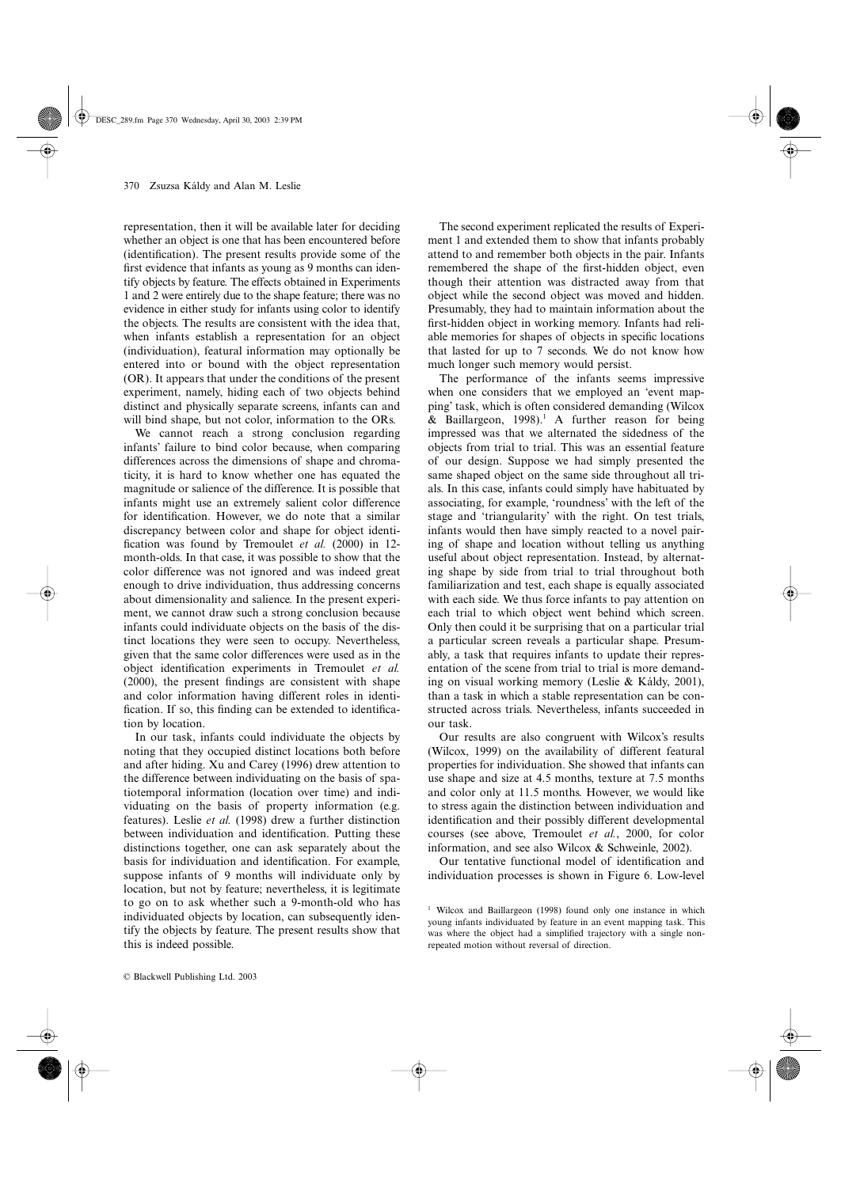representation, then it will be available later for deciding whether an object is one that has been encountered before (identification). The present results provide some of the first evidence that infants as young as 9 months can identify objects by feature. The effects obtained in Experiments 1 and 2 were entirely due to the shape feature; there was no evidence in either study for infants using color to identify the objects. The results are consistent with the idea that, when infants establish a representation for an object (individuation), featural information may optionally be entered into or bound with the object representation (OR). It appears that under the conditions of the present experiment, namely, hiding each of two objects behind distinct and physically separate screens, infants can and will bind shape, but not color, information to the ORs.

We cannot reach a strong conclusion regarding infants' failure to bind color because, when comparing differences across the dimensions of shape and chromaticity, it is hard to know whether one has equated the magnitude or salience of the difference. It is possible that infants might use an extremely salient color difference for identification. However, we do note that a similar discrepancy between color and shape for object identification was found by Tremoulet *et al.* (2000) in 12 month-olds. In that case, it was possible to show that the color difference was not ignored and was indeed great enough to drive individuation, thus addressing concerns about dimensionality and salience. In the present experiment, we cannot draw such a strong conclusion because infants could individuate objects on the basis of the distinct locations they were seen to occupy. Nevertheless, given that the same color differences were used as in the object identification experiments in Tremoulet *et al.* (2000), the present findings are consistent with shape and color information having different roles in identification. If so, this finding can be extended to identification by location.

In our task, infants could individuate the objects by noting that they occupied distinct locations both before and after hiding. Xu and Carey (1996) drew attention to the difference between individuating on the basis of spatiotemporal information (location over time) and individuating on the basis of property information (e.g. features). Leslie *et al.* (1998) drew a further distinction between individuation and identification. Putting these distinctions together, one can ask separately about the basis for individuation and identification. For example, suppose infants of 9 months will individuate only by location, but not by feature; nevertheless, it is legitimate to go on to ask whether such a 9-month-old who has individuated objects by location, can subsequently identify the objects by feature. The present results show that this is indeed possible.

The second experiment replicated the results of Experiment 1 and extended them to show that infants probably attend to and remember both objects in the pair. Infants remembered the shape of the first-hidden object, even though their attention was distracted away from that object while the second object was moved and hidden. Presumably, they had to maintain information about the first-hidden object in working memory. Infants had reliable memories for shapes of objects in specific locations that lasted for up to 7 seconds. We do not know how much longer such memory would persist.

The performance of the infants seems impressive when one considers that we employed an 'event mapping' task, which is often considered demanding (Wilcox & Baillargeon, 1998).<sup>1</sup> A further reason for being impressed was that we alternated the sidedness of the objects from trial to trial. This was an essential feature of our design. Suppose we had simply presented the same shaped object on the same side throughout all trials. In this case, infants could simply have habituated by associating, for example, 'roundness' with the left of the stage and 'triangularity' with the right. On test trials, infants would then have simply reacted to a novel pairing of shape and location without telling us anything useful about object representation. Instead, by alternating shape by side from trial to trial throughout both familiarization and test, each shape is equally associated with each side. We thus force infants to pay attention on each trial to which object went behind which screen. Only then could it be surprising that on a particular trial a particular screen reveals a particular shape. Presumably, a task that requires infants to update their representation of the scene from trial to trial is more demanding on visual working memory (Leslie & Káldy, 2001), than a task in which a stable representation can be constructed across trials. Nevertheless, infants succeeded in our task.

Our results are also congruent with Wilcox's results (Wilcox, 1999) on the availability of different featural properties for individuation. She showed that infants can use shape and size at 4.5 months, texture at 7.5 months and color only at 11.5 months. However, we would like to stress again the distinction between individuation and identification and their possibly different developmental courses (see above, Tremoulet *et al.*, 2000, for color information, and see also Wilcox & Schweinle, 2002).

Our tentative functional model of identification and individuation processes is shown in Figure 6. Low-level

<sup>1</sup> Wilcox and Baillargeon (1998) found only one instance in which young infants individuated by feature in an event mapping task. This was where the object had a simplified trajectory with a single nonrepeated motion without reversal of direction.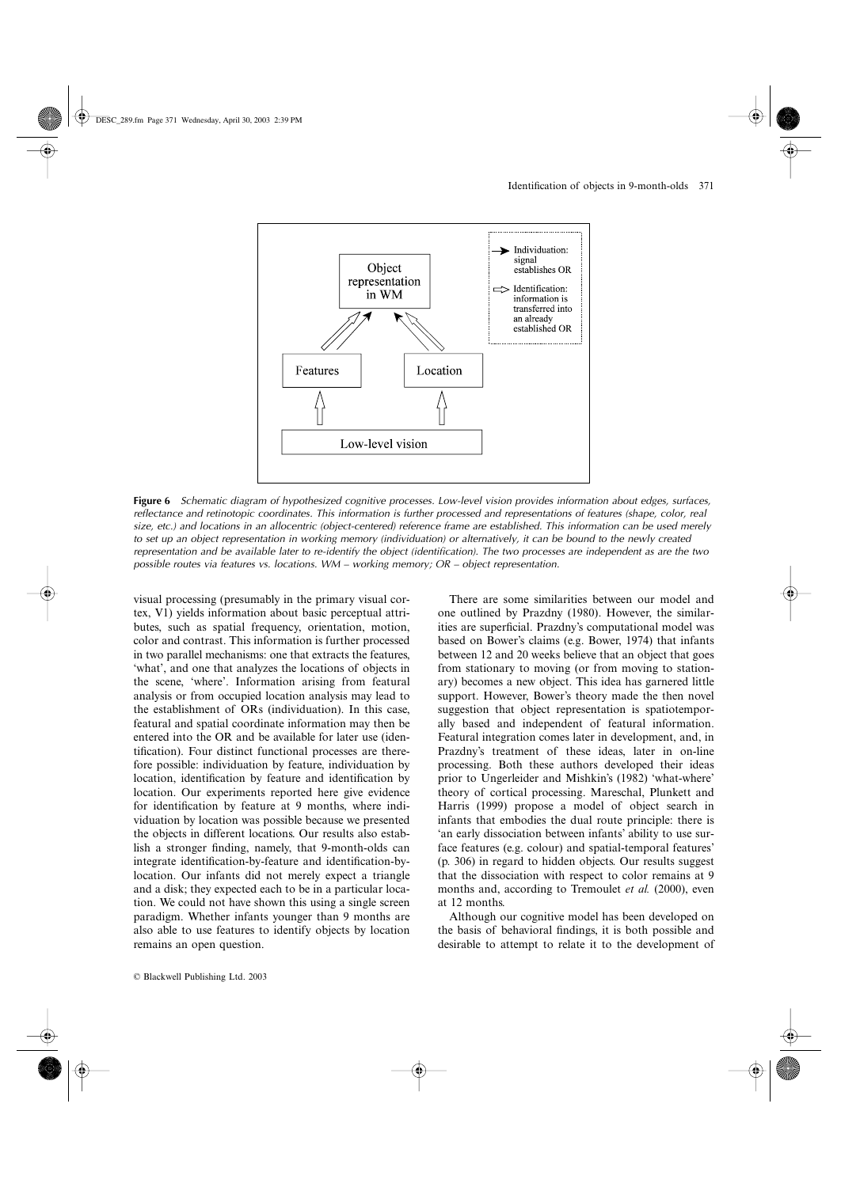![](_page_11_Figure_1.jpeg)

**Figure 6** *Schematic diagram of hypothesized cognitive processes. Low-level vision provides information about edges, surfaces, reflectance and retinotopic coordinates. This information is further processed and representations of features (shape, color, real size, etc.) and locations in an allocentric (object-centered) reference frame are established. This information can be used merely to set up an object representation in working memory (individuation) or alternatively, it can be bound to the newly created representation and be available later to re-identify the object (identification). The two processes are independent as are the two possible routes via features vs. locations. WM – working memory; OR – object representation.*

visual processing (presumably in the primary visual cortex, V1) yields information about basic perceptual attributes, such as spatial frequency, orientation, motion, color and contrast. This information is further processed in two parallel mechanisms: one that extracts the features, 'what', and one that analyzes the locations of objects in the scene, 'where'. Information arising from featural analysis or from occupied location analysis may lead to the establishment of ORs (individuation). In this case, featural and spatial coordinate information may then be entered into the OR and be available for later use (identification). Four distinct functional processes are therefore possible: individuation by feature, individuation by location, identification by feature and identification by location. Our experiments reported here give evidence for identification by feature at 9 months, where individuation by location was possible because we presented the objects in different locations. Our results also establish a stronger finding, namely, that 9-month-olds can integrate identification-by-feature and identification-bylocation. Our infants did not merely expect a triangle and a disk; they expected each to be in a particular location. We could not have shown this using a single screen paradigm. Whether infants younger than 9 months are also able to use features to identify objects by location remains an open question.

There are some similarities between our model and one outlined by Prazdny (1980). However, the similarities are superficial. Prazdny's computational model was based on Bower's claims (e.g. Bower, 1974) that infants between 12 and 20 weeks believe that an object that goes from stationary to moving (or from moving to stationary) becomes a new object. This idea has garnered little support. However, Bower's theory made the then novel suggestion that object representation is spatiotemporally based and independent of featural information. Featural integration comes later in development, and, in Prazdny's treatment of these ideas, later in on-line processing. Both these authors developed their ideas prior to Ungerleider and Mishkin's (1982) 'what-where' theory of cortical processing. Mareschal, Plunkett and Harris (1999) propose a model of object search in infants that embodies the dual route principle: there is 'an early dissociation between infants' ability to use surface features (e.g. colour) and spatial-temporal features' (p. 306) in regard to hidden objects. Our results suggest that the dissociation with respect to color remains at 9 months and, according to Tremoulet *et al.* (2000), even at 12 months.

Although our cognitive model has been developed on the basis of behavioral findings, it is both possible and desirable to attempt to relate it to the development of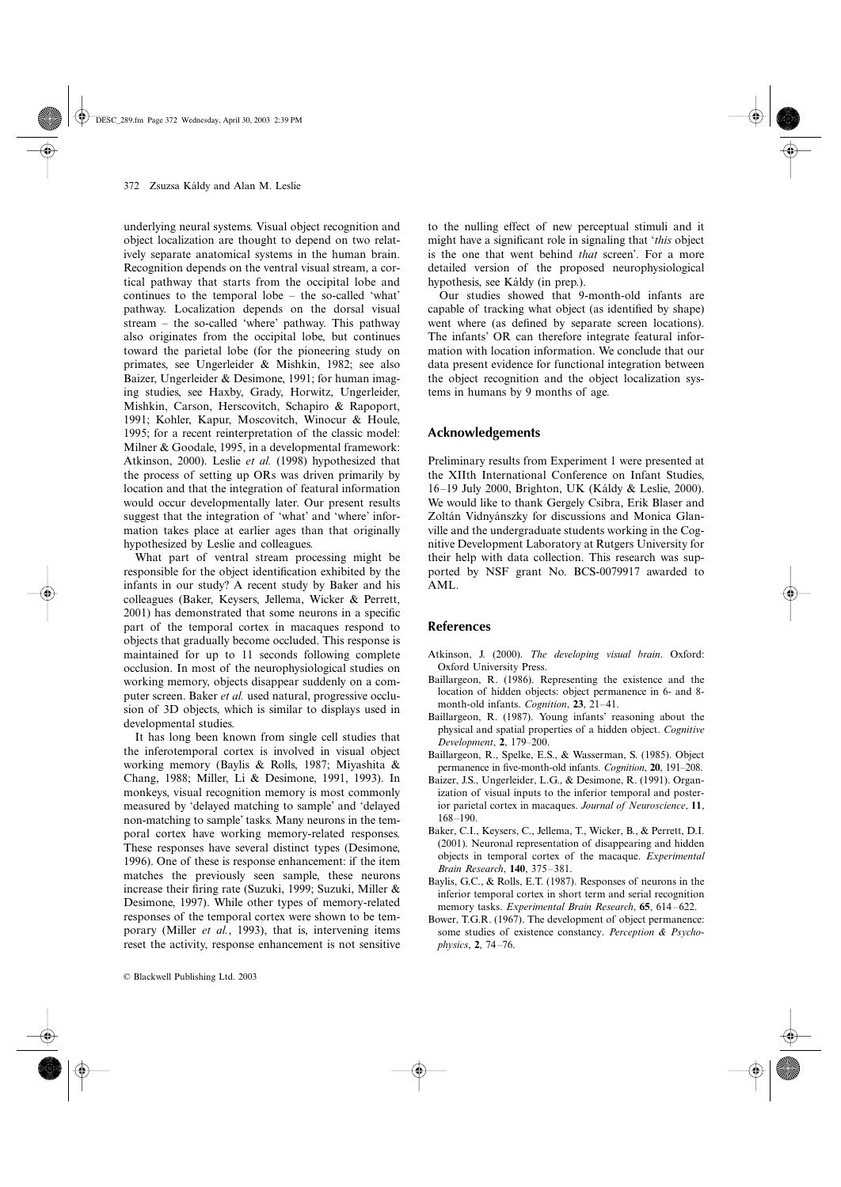underlying neural systems. Visual object recognition and object localization are thought to depend on two relatively separate anatomical systems in the human brain. Recognition depends on the ventral visual stream, a cortical pathway that starts from the occipital lobe and continues to the temporal lobe – the so-called 'what' pathway. Localization depends on the dorsal visual stream – the so-called 'where' pathway. This pathway also originates from the occipital lobe, but continues toward the parietal lobe (for the pioneering study on primates, see Ungerleider & Mishkin, 1982; see also Baizer, Ungerleider & Desimone, 1991; for human imaging studies, see Haxby, Grady, Horwitz, Ungerleider, Mishkin, Carson, Herscovitch, Schapiro & Rapoport, 1991; Kohler, Kapur, Moscovitch, Winocur & Houle, 1995; for a recent reinterpretation of the classic model: Milner & Goodale, 1995, in a developmental framework: Atkinson, 2000). Leslie *et al.* (1998) hypothesized that the process of setting up ORs was driven primarily by location and that the integration of featural information would occur developmentally later. Our present results suggest that the integration of 'what' and 'where' information takes place at earlier ages than that originally hypothesized by Leslie and colleagues.

What part of ventral stream processing might be responsible for the object identification exhibited by the infants in our study? A recent study by Baker and his colleagues (Baker, Keysers, Jellema, Wicker & Perrett, 2001) has demonstrated that some neurons in a specific part of the temporal cortex in macaques respond to objects that gradually become occluded. This response is maintained for up to 11 seconds following complete occlusion. In most of the neurophysiological studies on working memory, objects disappear suddenly on a computer screen. Baker *et al.* used natural, progressive occlusion of 3D objects, which is similar to displays used in developmental studies.

It has long been known from single cell studies that the inferotemporal cortex is involved in visual object working memory (Baylis & Rolls, 1987; Miyashita & Chang, 1988; Miller, Li & Desimone, 1991, 1993). In monkeys, visual recognition memory is most commonly measured by 'delayed matching to sample' and 'delayed non-matching to sample' tasks. Many neurons in the temporal cortex have working memory-related responses. These responses have several distinct types (Desimone, 1996). One of these is response enhancement: if the item matches the previously seen sample, these neurons increase their firing rate (Suzuki, 1999; Suzuki, Miller & Desimone, 1997). While other types of memory-related responses of the temporal cortex were shown to be temporary (Miller *et al.*, 1993), that is, intervening items reset the activity, response enhancement is not sensitive

to the nulling effect of new perceptual stimuli and it might have a significant role in signaling that '*this* object is the one that went behind *that* screen'. For a more detailed version of the proposed neurophysiological hypothesis, see Káldy (in prep.).

Our studies showed that 9-month-old infants are capable of tracking what object (as identified by shape) went where (as defined by separate screen locations). The infants' OR can therefore integrate featural information with location information. We conclude that our data present evidence for functional integration between the object recognition and the object localization systems in humans by 9 months of age.

# **Acknowledgements**

Preliminary results from Experiment 1 were presented at the XIIth International Conference on Infant Studies, 16–19 July 2000, Brighton, UK (Káldy & Leslie, 2000). We would like to thank Gergely Csibra, Erik Blaser and Zoltán Vidnyánszky for discussions and Monica Glanville and the undergraduate students working in the Cognitive Development Laboratory at Rutgers University for their help with data collection. This research was supported by NSF grant No. BCS-0079917 awarded to AML.

#### **References**

- Atkinson, J. (2000). *The developing visual brain*. Oxford: Oxford University Press.
- Baillargeon, R. (1986). Representing the existence and the location of hidden objects: object permanence in 6- and 8 month-old infants. *Cognition*, **23**, 21–41.
- Baillargeon, R. (1987). Young infants' reasoning about the physical and spatial properties of a hidden object. *Cognitive Development*, **2**, 179–200.
- Baillargeon, R., Spelke, E.S., & Wasserman, S. (1985). Object permanence in five-month-old infants. *Cognition*, **20**, 191–208.
- Baizer, J.S., Ungerleider, L.G., & Desimone, R. (1991). Organization of visual inputs to the inferior temporal and posterior parietal cortex in macaques. *Journal of Neuroscience*, **11**, 168–190.
- Baker, C.I., Keysers, C., Jellema, T., Wicker, B., & Perrett, D.I. (2001). Neuronal representation of disappearing and hidden objects in temporal cortex of the macaque. *Experimental Brain Research*, **140**, 375–381.
- Baylis, G.C., & Rolls, E.T. (1987). Responses of neurons in the inferior temporal cortex in short term and serial recognition memory tasks. *Experimental Brain Research*, **65**, 614–622.
- Bower, T.G.R. (1967). The development of object permanence: some studies of existence constancy. *Perception & Psychophysics*, **2**, 74–76.